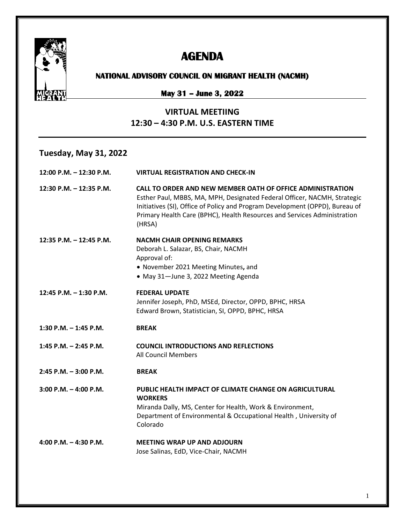

# **AGENDA**

#### **NATIONAL ADVISORY COUNCIL ON MIGRANT HEALTH (NACMH)**

### **May 31 – June 3, 2022**

#### **VIRTUAL MEETIING 12:30 – 4:30 P.M. U.S. EASTERN TIME**

#### **Tuesday, May 31, 2022**

| 12:00 P.M. - 12:30 P.M.   | <b>VIRTUAL REGISTRATION AND CHECK-IN</b>                                                                                                                                                                                                                                                                     |
|---------------------------|--------------------------------------------------------------------------------------------------------------------------------------------------------------------------------------------------------------------------------------------------------------------------------------------------------------|
| 12:30 P.M. - 12:35 P.M.   | CALL TO ORDER AND NEW MEMBER OATH OF OFFICE ADMINISTRATION<br>Esther Paul, MBBS, MA, MPH, Designated Federal Officer, NACMH, Strategic<br>Initiatives (SI), Office of Policy and Program Development (OPPD), Bureau of<br>Primary Health Care (BPHC), Health Resources and Services Administration<br>(HRSA) |
| 12:35 P.M. $-$ 12:45 P.M. | <b>NACMH CHAIR OPENING REMARKS</b><br>Deborah L. Salazar, BS, Chair, NACMH<br>Approval of:<br>• November 2021 Meeting Minutes, and<br>• May 31-June 3, 2022 Meeting Agenda                                                                                                                                   |
| 12:45 P.M. - 1:30 P.M.    | <b>FEDERAL UPDATE</b><br>Jennifer Joseph, PhD, MSEd, Director, OPPD, BPHC, HRSA<br>Edward Brown, Statistician, SI, OPPD, BPHC, HRSA                                                                                                                                                                          |
| 1:30 P.M. $-$ 1:45 P.M.   | <b>BREAK</b>                                                                                                                                                                                                                                                                                                 |
| 1:45 P.M. $-$ 2:45 P.M.   | <b>COUNCIL INTRODUCTIONS AND REFLECTIONS</b><br><b>All Council Members</b>                                                                                                                                                                                                                                   |
| $2:45$ P.M. $-3:00$ P.M.  | <b>BREAK</b>                                                                                                                                                                                                                                                                                                 |
| $3:00$ P.M. $-4:00$ P.M.  | PUBLIC HEALTH IMPACT OF CLIMATE CHANGE ON AGRICULTURAL<br><b>WORKERS</b><br>Miranda Dally, MS, Center for Health, Work & Environment,<br>Department of Environmental & Occupational Health, University of<br>Colorado                                                                                        |
| 4:00 P.M. $-$ 4:30 P.M.   | <b>MEETING WRAP UP AND ADJOURN</b><br>Jose Salinas, EdD, Vice-Chair, NACMH                                                                                                                                                                                                                                   |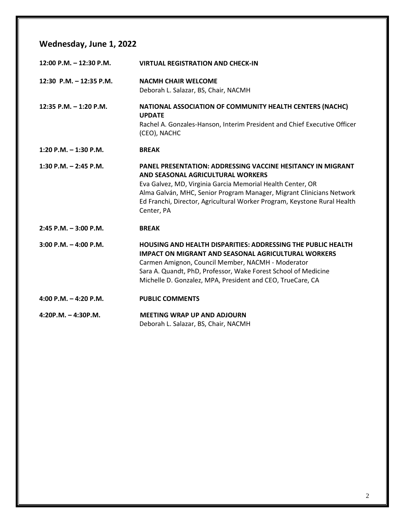### **Wednesday, June 1, 2022**

| 12:00 P.M. - 12:30 P.M.   | <b>VIRTUAL REGISTRATION AND CHECK-IN</b>                                                                                                                                                                                                                                                                                                |
|---------------------------|-----------------------------------------------------------------------------------------------------------------------------------------------------------------------------------------------------------------------------------------------------------------------------------------------------------------------------------------|
| 12:30 P.M. - 12:35 P.M.   | <b>NACMH CHAIR WELCOME</b><br>Deborah L. Salazar, BS, Chair, NACMH                                                                                                                                                                                                                                                                      |
| 12:35 P.M. - 1:20 P.M.    | NATIONAL ASSOCIATION OF COMMUNITY HEALTH CENTERS (NACHC)<br><b>UPDATE</b><br>Rachel A. Gonzales-Hanson, Interim President and Chief Executive Officer<br>(CEO), NACHC                                                                                                                                                                   |
| 1:20 P.M. $-$ 1:30 P.M.   | <b>BREAK</b>                                                                                                                                                                                                                                                                                                                            |
| 1:30 P.M. $-$ 2:45 P.M.   | <b>PANEL PRESENTATION: ADDRESSING VACCINE HESITANCY IN MIGRANT</b><br>AND SEASONAL AGRICULTURAL WORKERS<br>Eva Galvez, MD, Virginia Garcia Memorial Health Center, OR<br>Alma Galván, MHC, Senior Program Manager, Migrant Clinicians Network<br>Ed Franchi, Director, Agricultural Worker Program, Keystone Rural Health<br>Center, PA |
| $2:45$ P.M. $-3:00$ P.M.  | <b>BREAK</b>                                                                                                                                                                                                                                                                                                                            |
| $3:00$ P.M. $-$ 4:00 P.M. | <b>HOUSING AND HEALTH DISPARITIES: ADDRESSING THE PUBLIC HEALTH</b><br><b>IMPACT ON MIGRANT AND SEASONAL AGRICULTURAL WORKERS</b><br>Carmen Amignon, Council Member, NACMH - Moderator<br>Sara A. Quandt, PhD, Professor, Wake Forest School of Medicine<br>Michelle D. Gonzalez, MPA, President and CEO, TrueCare, CA                  |
| 4:00 P.M. $-$ 4:20 P.M.   | <b>PUBLIC COMMENTS</b>                                                                                                                                                                                                                                                                                                                  |
| $4:20P.M. - 4:30P.M.$     | <b>MEETING WRAP UP AND ADJOURN</b><br>Deborah L. Salazar, BS, Chair, NACMH                                                                                                                                                                                                                                                              |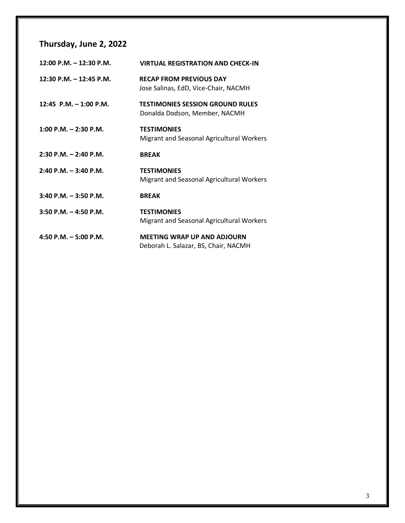## **Thursday, June 2, 2022**

| $12:00$ P.M. $-12:30$ P.M. | <b>VIRTUAL REGISTRATION AND CHECK-IN</b>                                   |
|----------------------------|----------------------------------------------------------------------------|
| 12:30 P.M. $-$ 12:45 P.M.  | <b>RECAP FROM PREVIOUS DAY</b><br>Jose Salinas, EdD, Vice-Chair, NACMH     |
| 12:45 P.M. $-$ 1:00 P.M.   | <b>TESTIMONIES SESSION GROUND RULES</b><br>Donalda Dodson, Member, NACMH   |
| $1:00$ P.M. $- 2:30$ P.M.  | <b>TESTIMONIES</b><br>Migrant and Seasonal Agricultural Workers            |
| $2:30$ P.M. $- 2:40$ P.M.  | <b>BREAK</b>                                                               |
| $2:40$ P.M. $-3:40$ P.M.   | <b>TESTIMONIES</b><br>Migrant and Seasonal Agricultural Workers            |
| $3:40$ P.M. $-3:50$ P.M.   | <b>BREAK</b>                                                               |
| $3:50$ P.M. $-$ 4:50 P.M.  | <b>TESTIMONIES</b><br>Migrant and Seasonal Agricultural Workers            |
| 4:50 P.M. $-$ 5:00 P.M.    | <b>MEETING WRAP UP AND ADJOURN</b><br>Deborah L. Salazar, BS, Chair, NACMH |